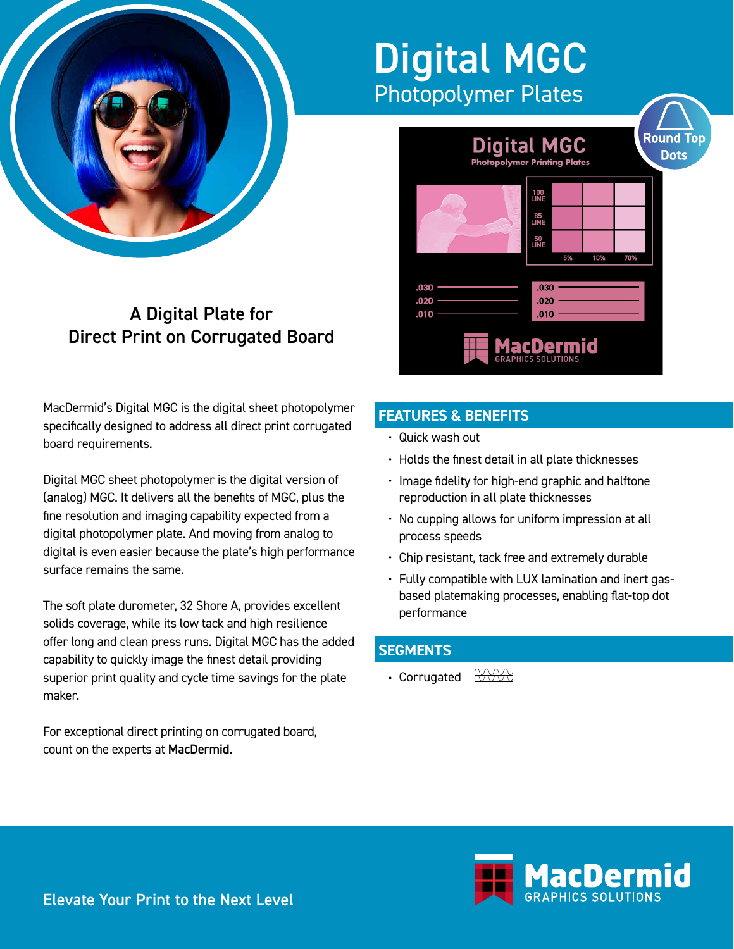

### A Digital Plate for Direct Print on Corrugated Board

MacDermid's Digital MGC is the digital sheet photopolymer specifically designed to address all direct print corrugated board requirements.

Digital MGC sheet photopolymer is the digital version of (analog) MGC. It delivers all the benefits of MGC, plus the fine resolution and imaging capability expected from a digital photopolymer plate. And moving from analog to digital is even easier because the plate's high performance surface remains the same.

The soft plate durometer, 32 Shore A, provides excellent solids coverage, while its low tack and high resilience offer long and clean press runs. Digital MGC has the added capability to quickly image the finest detail providing superior print quality and cycle time savings for the plate maker.

For exceptional direct printing on corrugated board, count on the experts at MacDermid.

## Digital MGC Photopolymer Plates



### **FEATURES & BENEFITS**

- Quick wash out
- Holds the finest detail in all plate thicknesses
- Image fidelity for high-end graphic and halftone reproduction in all plate thicknesses
- No cupping allows for uniform impression at all process speeds
- Chip resistant, tack free and extremely durable
- Fully compatible with LUX lamination and inert gasbased platemaking processes, enabling flat-top dot performance

#### **SEGMENTS**

• Corrugated  $\overrightarrow{\triangle}$